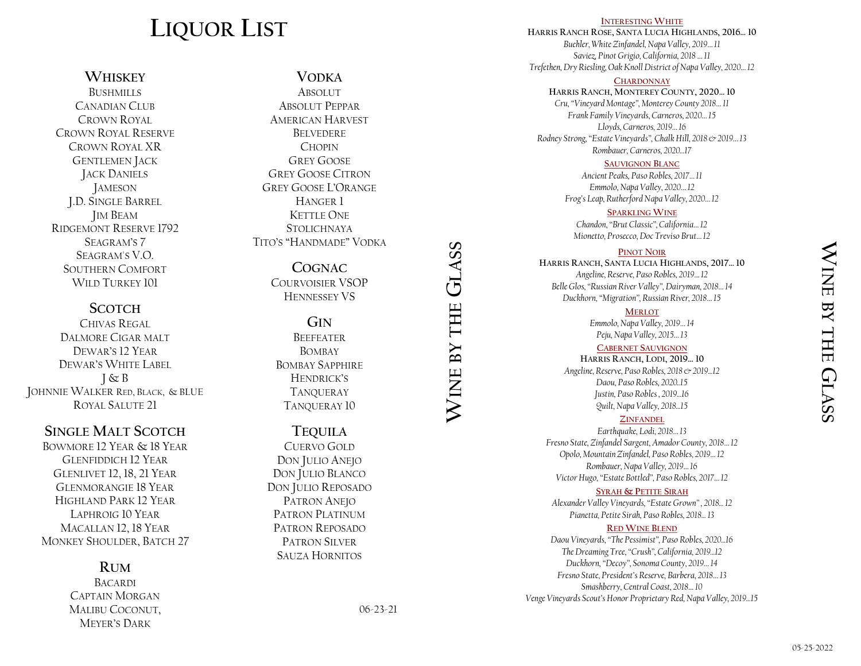# **LIQUOR LIST**

**WHISKEY BUSHMILLS** CANADIAN CLUB CROWN ROYAL CROWN ROYAL RESERVE CROWN ROYAL XR GENTLEMEN JACK JACK DANIELS JAMESON

J.D. SINGLE BARREL JIM BEAM RIDGEMONT RESERVE 1792 SEAGRAM'S 7 SEAGRAM'S V.O. SOUTHERN COMFORT WILD TURKEY 101

### **SCOTCH**

CHIVAS REGAL DALMORE CIGAR MALT DEWAR'S 12 YEAR DEWAR'S WHITE LABEL  $J \& B$ JOHNNIE WALKER RED, BLACK, & BLUE ROYAL SALUTE 21

### **SINGLE MALT SCOTCH**

BOWMORE 12 YEAR & 18 YEAR GLENFIDDICH 12 YEAR GLENLIVET 12, 18, 21 YEAR GLENMORANGIE 18 YEAR HIGHLAND PARK 12 YEAR LAPHROIG 10 YEAR MACALLAN 12, 18 YEAR MONKEY SHOULDER, BATCH 27

### **RUM**

BACARDI CAPTAIN MORGAN MALIBU COCONUT, MEYER'S DARK

# **VODKA**

**ABSOLUT** ABSOLUT PEPPAR AMERICAN HARVEST BELVEDERE **CHOPIN** GREY GOOSE GREY GOOSE CITRON GREY GOOSE L'ORANGE HANGER 1 KETTLE ONE STOI ICHNAYA TITO'S "HANDMADE" VODKA

> **COGNAC** COURVOISIER VSOP HENNESSEY VS

**GIN BEEFFATER BOMBAY** BOMBAY SAPPHIRE HENDRICK'S **TANQUERAY** TANQUERAY 10

### **TEQUILA**

CUERVO GOLD DON JULIO ANEJO DON JULIO BLANCO DON JULIO REPOSADO PATRON ANEJO PATRON PLATINUM PATRON REPOSADO PATRON SILVER SAUZA HORNITOS

**WINE BY THE**

**GLASS**

#### **INTERESTING WHITE**

**HARRIS RANCH ROSE, SANTA LUCIA HIGHLANDS, 2016… 10** *Buehler, White Zinfandel, Napa Valley, 2019… 11 Saviez, Pinot Grigio, California, 2018 … 11 Trefethen, Dry Riesling, Oak Knoll District of Napa Valley, 2020… 12*

### **CHARDONNAY**

**HARRIS RANCH, MONTEREY COUNTY, 2020… 10** *Cru, "Vineyard Montage", Monterey County 2018… 11 Frank Family Vineyards, Carneros, 2020… 15 Lloyds, Carneros, 2019… 16 Rodney Strong, "Estate Vineyards", Chalk Hill, 2018 & 2019… 13 Rombauer, Carneros, 2020...17*

### **SAUVIGNON BLANC**

*Ancient Peaks, Paso Robles, 2017… 11 Emmolo, Napa Valley, 2020… 12 Frog's Leap, Rutherford Napa Valley, 2020… 12*

#### **SPARKLING WINE**

*Chandon, "Brut Classic", California… 12 Mionetto, Prosecco, Doc Treviso Brut… 12*

#### **PINOT NOIR**

**HARRIS RANCH, SANTA LUCIA HIGHLANDS, 2017… 10** *Angeline, Reserve, Paso Robles, 2019… 12 Belle Glos, "Russian River Valley", Dairyman, 2018… 14 Duckhorn, "Migration", Russian River, 2018… 15*

**MERLOT**

*Emmolo, Napa Valley, 2019… 14 Peju, Napa Valley, 2015… 13*

**CABERNET SAUVIGNON**

**HARRIS RANCH, LODI, 2019… 10** *Angeline, Reserve, Paso Robles, 2018 & 2019...12 Daou, Paso Robles, 2020..15 Justin, Paso Robles , 2019...16 Quilt, Napa Valley, 2018...15*

### **ZINFANDEL**

*Earthquake, Lodi, 2018… 13 Fresno State, Zinfandel Sargent, Amador County, 2018… 12 Opolo, Mountain Zinfandel, Paso Robles, 2019… 12 Rombauer, Napa Valley, 2019… 16 Victor Hugo, "Estate Bottled", Paso Robles, 2017… 12*

#### **SYRAH & PETITE SIRAH**

*Alexander Valley Vineyards, "Estate Grown" , 2018... 12 Pianetta, Petite Sirah, Paso Robles, 2018... 13*

#### **RED WINE BLEND**

*Daou Vineyards, "The Pessimist", Paso Robles, 2020...16 The Dreaming Tree, "Crush", California, 2019...12 Duckhorn, "Decoy", Sonoma County, 2019… 14 Fresno State, President's Reserve, Barbera, 2018… 13 Smashberry, Central Coast, 2018… 10 Venge Vineyards Scout's Honor Proprietary Red, Napa Valley, 2019...15*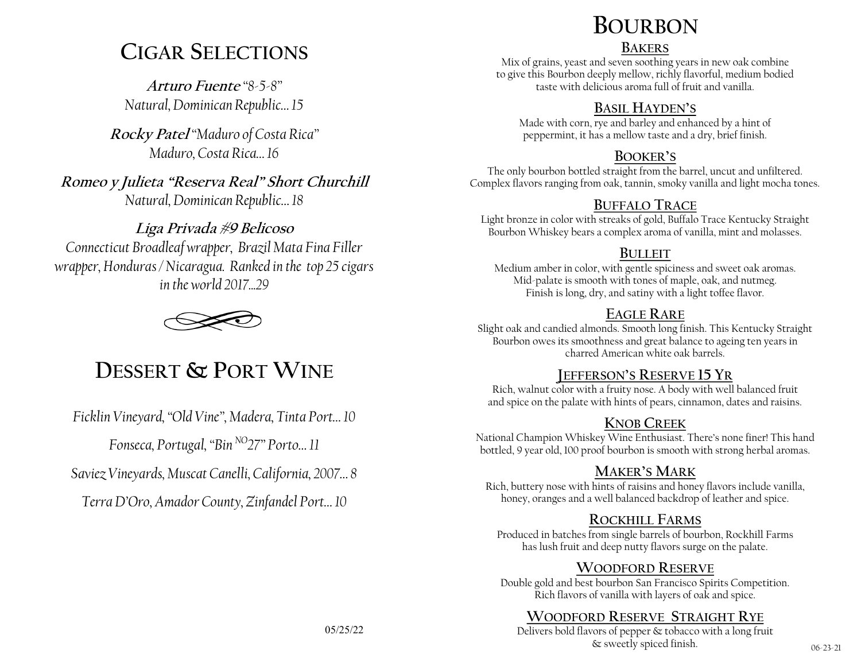# **CIGAR SELECTIONS**

**Arturo Fuente** *"8-5-8" Natural, Dominican Republic… 15*

**Rocky Patel** *"Maduro of Costa Rica" Maduro, Costa Rica… 16*

**Romeo y Julieta "Reserva Real" Short Churchill** *Natural, Dominican Republic… 18*

## **Liga Privada #9 Belicoso**

*Connecticut Broadleaf wrapper, Brazil Mata Fina Filler wrapper, Honduras / Nicaragua. Ranked in the top 25 cigars in the world 2017 29* 



# **DESSERT & PORT WINE**

*Ficklin Vineyard, "Old Vine", Madera, Tinta Port… 10*

*Fonseca, Portugal, "Bin NO27" Porto… 11*

*Saviez Vineyards, Muscat Canelli, California, 2007… 8*

*Terra D'Oro, Amador County, Zinfandel Port… 10*

# **BOURBON**

### **BAKERS**

Mix of grains, yeast and seven soothing years in new oak combine to give this Bourbon deeply mellow, richly flavorful, medium bodied taste with delicious aroma full of fruit and vanilla.

## **BASIL HAYDEN'S**

Made with corn, rye and barley and enhanced by a hint of peppermint, it has a mellow taste and a dry, brief finish.

## **BOOKER'S**

The only bourbon bottled straight from the barrel, uncut and unfiltered. Complex flavors ranging from oak, tannin, smoky vanilla and light mocha tones.

# **BUFFALO TRACE**

Light bronze in color with streaks of gold, Buffalo Trace Kentucky Straight Bourbon Whiskey bears a complex aroma of vanilla, mint and molasses.

## **BULLEIT**

Medium amber in color, with gentle spiciness and sweet oak aromas. Mid-palate is smooth with tones of maple, oak, and nutmeg. Finish is long, dry, and satiny with a light toffee flavor.

# **EAGLE RARE**

Slight oak and candied almonds. Smooth long finish. This Kentucky Straight Bourbon owes its smoothness and great balance to ageing ten years in charred American white oak barrels.

## **JEFFERSON'S RESERVE 15 YR**

Rich, walnut color with a fruity nose. A body with well balanced fruit and spice on the palate with hints of pears, cinnamon, dates and raisins.

# **KNOB CREEK**

National Champion Whiskey Wine Enthusiast. There's none finer! This hand bottled, 9 year old, 100 proof bourbon is smooth with strong herbal aromas.

## **MAKER'S MARK**

Rich, buttery nose with hints of raisins and honey flavors include vanilla, honey, oranges and a well balanced backdrop of leather and spice.

## **ROCKHILL FARMS**

Produced in batches from single barrels of bourbon, Rockhill Farms has lush fruit and deep nutty flavors surge on the palate.

## **WOODFORD RESERVE**

Double gold and best bourbon San Francisco Spirits Competition. Rich flavors of vanilla with layers of oak and spice.

# **WOODFORD RESERVE STRAIGHT RYE**

Delivers bold flavors of pepper & tobacco with a long fruit  $\&$  sweetly spiced finish.  $06-23-21$